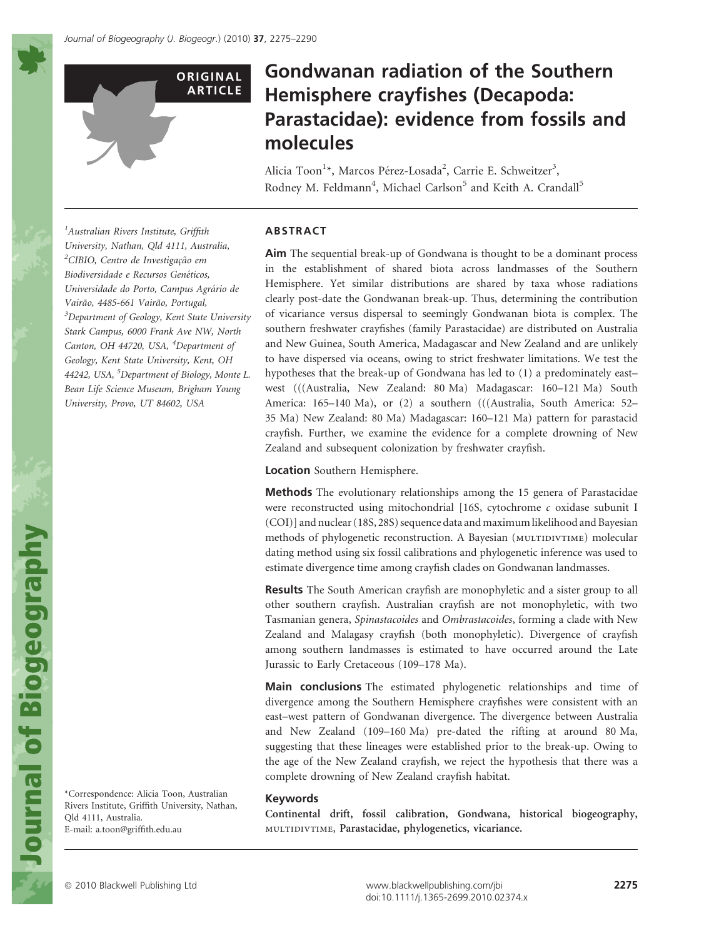

# Gondwanan radiation of the Southern Hemisphere crayfishes (Decapoda: Parastacidae): evidence from fossils and molecules

Alicia Toon<sup>1</sup>\*, Marcos Pérez-Losada<sup>2</sup>, Carrie E. Schweitzer<sup>3</sup>, Rodney M. Feldmann<sup>4</sup>, Michael Carlson<sup>5</sup> and Keith A. Crandall<sup>5</sup>

<sup>1</sup>Australian Rivers Institute, Griffith University, Nathan, Qld 4111, Australia, <sup>2</sup>CIBIO, Centro de Investigação em Biodiversidade e Recursos Genéticos, Universidade do Porto, Campus Agrário de Vairão, 4485-661 Vairão, Portugal, <sup>3</sup>Department of Geology, Kent State University Stark Campus, 6000 Frank Ave NW, North Canton, OH 44720, USA, <sup>4</sup>Department of Geology, Kent State University, Kent, OH 44242, USA, <sup>5</sup>Department of Biology, Monte L. Bean Life Science Museum, Brigham Young University, Provo, UT 84602, USA

# ABSTRACT

Aim The sequential break-up of Gondwana is thought to be a dominant process in the establishment of shared biota across landmasses of the Southern Hemisphere. Yet similar distributions are shared by taxa whose radiations clearly post-date the Gondwanan break-up. Thus, determining the contribution of vicariance versus dispersal to seemingly Gondwanan biota is complex. The southern freshwater crayfishes (family Parastacidae) are distributed on Australia and New Guinea, South America, Madagascar and New Zealand and are unlikely to have dispersed via oceans, owing to strict freshwater limitations. We test the hypotheses that the break-up of Gondwana has led to (1) a predominately east– west (((Australia, New Zealand: 80 Ma) Madagascar: 160–121 Ma) South America: 165–140 Ma), or (2) a southern (((Australia, South America: 52– 35 Ma) New Zealand: 80 Ma) Madagascar: 160–121 Ma) pattern for parastacid crayfish. Further, we examine the evidence for a complete drowning of New Zealand and subsequent colonization by freshwater crayfish.

Location Southern Hemisphere.

Methods The evolutionary relationships among the 15 genera of Parastacidae were reconstructed using mitochondrial [16S, cytochrome c oxidase subunit I (COI)] and nuclear (18S, 28S) sequence data and maximum likelihood and Bayesian methods of phylogenetic reconstruction. A Bayesian (MULTIDIVTIME) molecular dating method using six fossil calibrations and phylogenetic inference was used to estimate divergence time among crayfish clades on Gondwanan landmasses.

Results The South American crayfish are monophyletic and a sister group to all other southern crayfish. Australian crayfish are not monophyletic, with two Tasmanian genera, Spinastacoides and Ombrastacoides, forming a clade with New Zealand and Malagasy crayfish (both monophyletic). Divergence of crayfish among southern landmasses is estimated to have occurred around the Late Jurassic to Early Cretaceous (109–178 Ma).

**Main conclusions** The estimated phylogenetic relationships and time of divergence among the Southern Hemisphere crayfishes were consistent with an east–west pattern of Gondwanan divergence. The divergence between Australia and New Zealand (109–160 Ma) pre-dated the rifting at around 80 Ma, suggesting that these lineages were established prior to the break-up. Owing to the age of the New Zealand crayfish, we reject the hypothesis that there was a complete drowning of New Zealand crayfish habitat.

# Keywords

Continental drift, fossil calibration, Gondwana, historical biogeography, MULTIDIVTIME, Parastacidae, phylogenetics, vicariance.

Rivers Institute, Griffith University, Nathan, Qld 4111, Australia. E-mail: a.toon@griffith.edu.au

\*Correspondence: Alicia Toon, Australian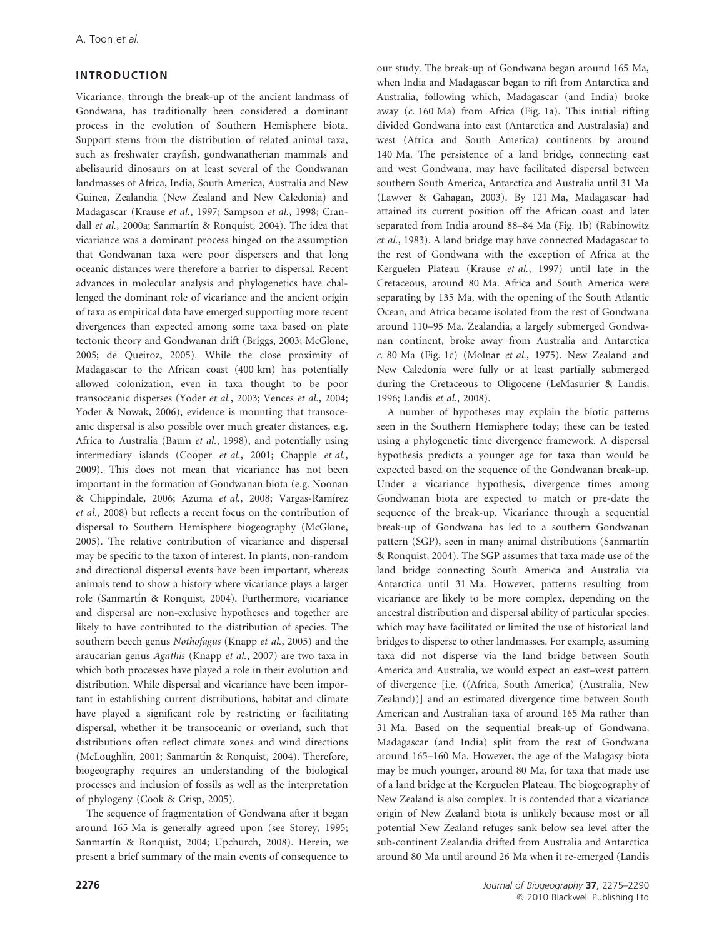# INTRODUCTION

Vicariance, through the break-up of the ancient landmass of Gondwana, has traditionally been considered a dominant process in the evolution of Southern Hemisphere biota. Support stems from the distribution of related animal taxa, such as freshwater crayfish, gondwanatherian mammals and abelisaurid dinosaurs on at least several of the Gondwanan landmasses of Africa, India, South America, Australia and New Guinea, Zealandia (New Zealand and New Caledonia) and Madagascar (Krause et al., 1997; Sampson et al., 1998; Crandall et al., 2000a; Sanmartín & Ronquist, 2004). The idea that vicariance was a dominant process hinged on the assumption that Gondwanan taxa were poor dispersers and that long oceanic distances were therefore a barrier to dispersal. Recent advances in molecular analysis and phylogenetics have challenged the dominant role of vicariance and the ancient origin of taxa as empirical data have emerged supporting more recent divergences than expected among some taxa based on plate tectonic theory and Gondwanan drift (Briggs, 2003; McGlone, 2005; de Queiroz, 2005). While the close proximity of Madagascar to the African coast (400 km) has potentially allowed colonization, even in taxa thought to be poor transoceanic disperses (Yoder et al., 2003; Vences et al., 2004; Yoder & Nowak, 2006), evidence is mounting that transoceanic dispersal is also possible over much greater distances, e.g. Africa to Australia (Baum et al., 1998), and potentially using intermediary islands (Cooper et al., 2001; Chapple et al., 2009). This does not mean that vicariance has not been important in the formation of Gondwanan biota (e.g. Noonan & Chippindale, 2006; Azuma et al., 2008; Vargas-Ramírez et al., 2008) but reflects a recent focus on the contribution of dispersal to Southern Hemisphere biogeography (McGlone, 2005). The relative contribution of vicariance and dispersal may be specific to the taxon of interest. In plants, non-random and directional dispersal events have been important, whereas animals tend to show a history where vicariance plays a larger role (Sanmartín & Ronquist, 2004). Furthermore, vicariance and dispersal are non-exclusive hypotheses and together are likely to have contributed to the distribution of species. The southern beech genus Nothofagus (Knapp et al., 2005) and the araucarian genus Agathis (Knapp et al., 2007) are two taxa in which both processes have played a role in their evolution and distribution. While dispersal and vicariance have been important in establishing current distributions, habitat and climate have played a significant role by restricting or facilitating dispersal, whether it be transoceanic or overland, such that distributions often reflect climate zones and wind directions (McLoughlin, 2001; Sanmartín & Ronquist, 2004). Therefore, biogeography requires an understanding of the biological processes and inclusion of fossils as well as the interpretation of phylogeny (Cook & Crisp, 2005).

The sequence of fragmentation of Gondwana after it began around 165 Ma is generally agreed upon (see Storey, 1995; Sanmartín & Ronquist, 2004; Upchurch, 2008). Herein, we present a brief summary of the main events of consequence to our study. The break-up of Gondwana began around 165 Ma, when India and Madagascar began to rift from Antarctica and Australia, following which, Madagascar (and India) broke away (c. 160 Ma) from Africa (Fig. 1a). This initial rifting divided Gondwana into east (Antarctica and Australasia) and west (Africa and South America) continents by around 140 Ma. The persistence of a land bridge, connecting east and west Gondwana, may have facilitated dispersal between southern South America, Antarctica and Australia until 31 Ma (Lawver & Gahagan, 2003). By 121 Ma, Madagascar had attained its current position off the African coast and later separated from India around 88–84 Ma (Fig. 1b) (Rabinowitz et al., 1983). A land bridge may have connected Madagascar to the rest of Gondwana with the exception of Africa at the Kerguelen Plateau (Krause et al., 1997) until late in the Cretaceous, around 80 Ma. Africa and South America were separating by 135 Ma, with the opening of the South Atlantic Ocean, and Africa became isolated from the rest of Gondwana around 110–95 Ma. Zealandia, a largely submerged Gondwanan continent, broke away from Australia and Antarctica c. 80 Ma (Fig. 1c) (Molnar et al., 1975). New Zealand and New Caledonia were fully or at least partially submerged during the Cretaceous to Oligocene (LeMasurier & Landis, 1996; Landis et al., 2008).

A number of hypotheses may explain the biotic patterns seen in the Southern Hemisphere today; these can be tested using a phylogenetic time divergence framework. A dispersal hypothesis predicts a younger age for taxa than would be expected based on the sequence of the Gondwanan break-up. Under a vicariance hypothesis, divergence times among Gondwanan biota are expected to match or pre-date the sequence of the break-up. Vicariance through a sequential break-up of Gondwana has led to a southern Gondwanan pattern (SGP), seen in many animal distributions (Sanmartín & Ronquist, 2004). The SGP assumes that taxa made use of the land bridge connecting South America and Australia via Antarctica until 31 Ma. However, patterns resulting from vicariance are likely to be more complex, depending on the ancestral distribution and dispersal ability of particular species, which may have facilitated or limited the use of historical land bridges to disperse to other landmasses. For example, assuming taxa did not disperse via the land bridge between South America and Australia, we would expect an east–west pattern of divergence [i.e. ((Africa, South America) (Australia, New Zealand))] and an estimated divergence time between South American and Australian taxa of around 165 Ma rather than 31 Ma. Based on the sequential break-up of Gondwana, Madagascar (and India) split from the rest of Gondwana around 165–160 Ma. However, the age of the Malagasy biota may be much younger, around 80 Ma, for taxa that made use of a land bridge at the Kerguelen Plateau. The biogeography of New Zealand is also complex. It is contended that a vicariance origin of New Zealand biota is unlikely because most or all potential New Zealand refuges sank below sea level after the sub-continent Zealandia drifted from Australia and Antarctica around 80 Ma until around 26 Ma when it re-emerged (Landis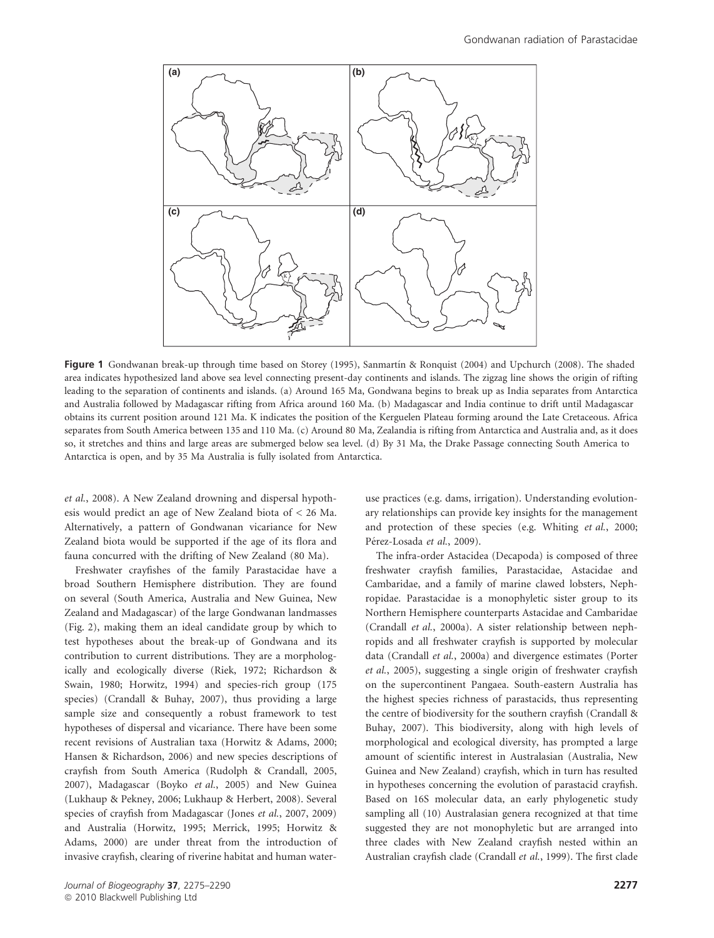

Figure 1 Gondwanan break-up through time based on Storey (1995), Sanmartín & Ronquist (2004) and Upchurch (2008). The shaded area indicates hypothesized land above sea level connecting present-day continents and islands. The zigzag line shows the origin of rifting leading to the separation of continents and islands. (a) Around 165 Ma, Gondwana begins to break up as India separates from Antarctica and Australia followed by Madagascar rifting from Africa around 160 Ma. (b) Madagascar and India continue to drift until Madagascar obtains its current position around 121 Ma. K indicates the position of the Kerguelen Plateau forming around the Late Cretaceous. Africa separates from South America between 135 and 110 Ma. (c) Around 80 Ma, Zealandia is rifting from Antarctica and Australia and, as it does so, it stretches and thins and large areas are submerged below sea level. (d) By 31 Ma, the Drake Passage connecting South America to Antarctica is open, and by 35 Ma Australia is fully isolated from Antarctica.

et al., 2008). A New Zealand drowning and dispersal hypothesis would predict an age of New Zealand biota of < 26 Ma. Alternatively, a pattern of Gondwanan vicariance for New Zealand biota would be supported if the age of its flora and fauna concurred with the drifting of New Zealand (80 Ma).

Freshwater crayfishes of the family Parastacidae have a broad Southern Hemisphere distribution. They are found on several (South America, Australia and New Guinea, New Zealand and Madagascar) of the large Gondwanan landmasses (Fig. 2), making them an ideal candidate group by which to test hypotheses about the break-up of Gondwana and its contribution to current distributions. They are a morphologically and ecologically diverse (Riek, 1972; Richardson & Swain, 1980; Horwitz, 1994) and species-rich group (175 species) (Crandall & Buhay, 2007), thus providing a large sample size and consequently a robust framework to test hypotheses of dispersal and vicariance. There have been some recent revisions of Australian taxa (Horwitz & Adams, 2000; Hansen & Richardson, 2006) and new species descriptions of crayfish from South America (Rudolph & Crandall, 2005, 2007), Madagascar (Boyko et al., 2005) and New Guinea (Lukhaup & Pekney, 2006; Lukhaup & Herbert, 2008). Several species of crayfish from Madagascar (Jones et al., 2007, 2009) and Australia (Horwitz, 1995; Merrick, 1995; Horwitz & Adams, 2000) are under threat from the introduction of invasive crayfish, clearing of riverine habitat and human water-

Journal of Biogeography 37, 2275–2290 2277  $@$  2010 Blackwell Publishing Ltd

use practices (e.g. dams, irrigation). Understanding evolutionary relationships can provide key insights for the management and protection of these species (e.g. Whiting et al., 2000; Pérez-Losada et al., 2009).

The infra-order Astacidea (Decapoda) is composed of three freshwater crayfish families, Parastacidae, Astacidae and Cambaridae, and a family of marine clawed lobsters, Nephropidae. Parastacidae is a monophyletic sister group to its Northern Hemisphere counterparts Astacidae and Cambaridae (Crandall et al., 2000a). A sister relationship between nephropids and all freshwater crayfish is supported by molecular data (Crandall et al., 2000a) and divergence estimates (Porter et al., 2005), suggesting a single origin of freshwater crayfish on the supercontinent Pangaea. South-eastern Australia has the highest species richness of parastacids, thus representing the centre of biodiversity for the southern crayfish (Crandall & Buhay, 2007). This biodiversity, along with high levels of morphological and ecological diversity, has prompted a large amount of scientific interest in Australasian (Australia, New Guinea and New Zealand) crayfish, which in turn has resulted in hypotheses concerning the evolution of parastacid crayfish. Based on 16S molecular data, an early phylogenetic study sampling all (10) Australasian genera recognized at that time suggested they are not monophyletic but are arranged into three clades with New Zealand crayfish nested within an Australian crayfish clade (Crandall et al., 1999). The first clade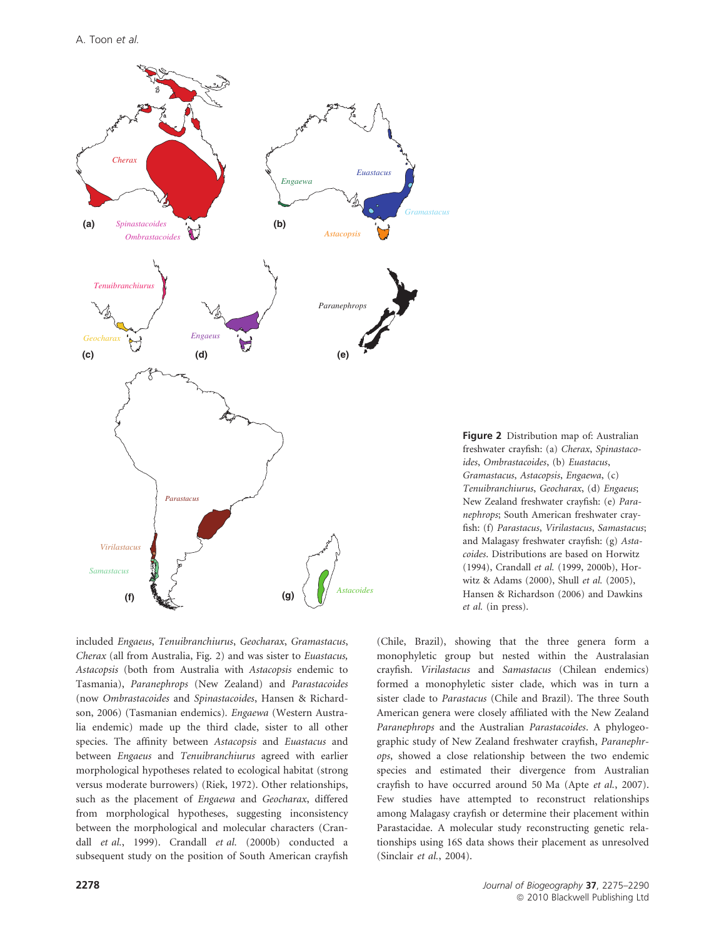

Figure 2 Distribution map of: Australian freshwater crayfish: (a) Cherax, Spinastacoides, Ombrastacoides, (b) Euastacus, Gramastacus, Astacopsis, Engaewa, (c) Tenuibranchiurus, Geocharax, (d) Engaeus; New Zealand freshwater crayfish: (e) Paranephrops; South American freshwater crayfish: (f) Parastacus, Virilastacus, Samastacus; and Malagasy freshwater crayfish: (g) Astacoides. Distributions are based on Horwitz (1994), Crandall et al. (1999, 2000b), Horwitz & Adams (2000), Shull et al. (2005), Hansen & Richardson (2006) and Dawkins et al. (in press).

included Engaeus, Tenuibranchiurus, Geocharax, Gramastacus, Cherax (all from Australia, Fig. 2) and was sister to Euastacus, Astacopsis (both from Australia with Astacopsis endemic to Tasmania), Paranephrops (New Zealand) and Parastacoides (now Ombrastacoides and Spinastacoides, Hansen & Richardson, 2006) (Tasmanian endemics). Engaewa (Western Australia endemic) made up the third clade, sister to all other species. The affinity between Astacopsis and Euastacus and between Engaeus and Tenuibranchiurus agreed with earlier morphological hypotheses related to ecological habitat (strong versus moderate burrowers) (Riek, 1972). Other relationships, such as the placement of Engaewa and Geocharax, differed from morphological hypotheses, suggesting inconsistency between the morphological and molecular characters (Crandall et al., 1999). Crandall et al. (2000b) conducted a subsequent study on the position of South American crayfish (Chile, Brazil), showing that the three genera form a monophyletic group but nested within the Australasian crayfish. Virilastacus and Samastacus (Chilean endemics) formed a monophyletic sister clade, which was in turn a sister clade to Parastacus (Chile and Brazil). The three South American genera were closely affiliated with the New Zealand Paranephrops and the Australian Parastacoides. A phylogeographic study of New Zealand freshwater crayfish, Paranephrops, showed a close relationship between the two endemic species and estimated their divergence from Australian crayfish to have occurred around 50 Ma (Apte et al., 2007). Few studies have attempted to reconstruct relationships among Malagasy crayfish or determine their placement within Parastacidae. A molecular study reconstructing genetic relationships using 16S data shows their placement as unresolved (Sinclair et al., 2004).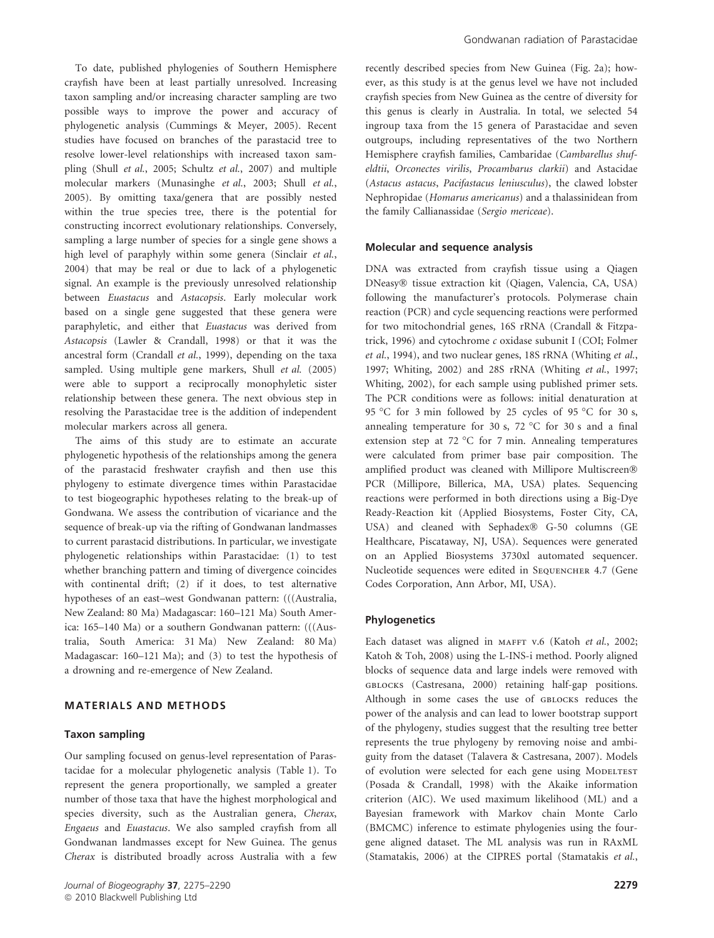To date, published phylogenies of Southern Hemisphere crayfish have been at least partially unresolved. Increasing taxon sampling and/or increasing character sampling are two possible ways to improve the power and accuracy of phylogenetic analysis (Cummings & Meyer, 2005). Recent studies have focused on branches of the parastacid tree to resolve lower-level relationships with increased taxon sampling (Shull et al., 2005; Schultz et al., 2007) and multiple molecular markers (Munasinghe et al., 2003; Shull et al., 2005). By omitting taxa/genera that are possibly nested within the true species tree, there is the potential for constructing incorrect evolutionary relationships. Conversely, sampling a large number of species for a single gene shows a high level of paraphyly within some genera (Sinclair et al., 2004) that may be real or due to lack of a phylogenetic signal. An example is the previously unresolved relationship between Euastacus and Astacopsis. Early molecular work based on a single gene suggested that these genera were paraphyletic, and either that Euastacus was derived from Astacopsis (Lawler & Crandall, 1998) or that it was the ancestral form (Crandall et al., 1999), depending on the taxa sampled. Using multiple gene markers, Shull et al. (2005) were able to support a reciprocally monophyletic sister relationship between these genera. The next obvious step in resolving the Parastacidae tree is the addition of independent molecular markers across all genera.

The aims of this study are to estimate an accurate phylogenetic hypothesis of the relationships among the genera of the parastacid freshwater crayfish and then use this phylogeny to estimate divergence times within Parastacidae to test biogeographic hypotheses relating to the break-up of Gondwana. We assess the contribution of vicariance and the sequence of break-up via the rifting of Gondwanan landmasses to current parastacid distributions. In particular, we investigate phylogenetic relationships within Parastacidae: (1) to test whether branching pattern and timing of divergence coincides with continental drift; (2) if it does, to test alternative hypotheses of an east–west Gondwanan pattern: (((Australia, New Zealand: 80 Ma) Madagascar: 160–121 Ma) South America: 165–140 Ma) or a southern Gondwanan pattern: (((Australia, South America: 31 Ma) New Zealand: 80 Ma) Madagascar: 160–121 Ma); and (3) to test the hypothesis of a drowning and re-emergence of New Zealand.

#### MATERIALS AND METHODS

#### Taxon sampling

Our sampling focused on genus-level representation of Parastacidae for a molecular phylogenetic analysis (Table 1). To represent the genera proportionally, we sampled a greater number of those taxa that have the highest morphological and species diversity, such as the Australian genera, Cherax, Engaeus and Euastacus. We also sampled crayfish from all Gondwanan landmasses except for New Guinea. The genus Cherax is distributed broadly across Australia with a few

recently described species from New Guinea (Fig. 2a); however, as this study is at the genus level we have not included crayfish species from New Guinea as the centre of diversity for this genus is clearly in Australia. In total, we selected 54 ingroup taxa from the 15 genera of Parastacidae and seven outgroups, including representatives of the two Northern Hemisphere crayfish families, Cambaridae (Cambarellus shufeldtii, Orconectes virilis, Procambarus clarkii) and Astacidae (Astacus astacus, Pacifastacus leniusculus), the clawed lobster Nephropidae (Homarus americanus) and a thalassinidean from the family Callianassidae (Sergio mericeae).

#### Molecular and sequence analysis

DNA was extracted from crayfish tissue using a Qiagen DNeasy® tissue extraction kit (Qiagen, Valencia, CA, USA) following the manufacturer's protocols. Polymerase chain reaction (PCR) and cycle sequencing reactions were performed for two mitochondrial genes, 16S rRNA (Crandall & Fitzpatrick, 1996) and cytochrome c oxidase subunit I (COI; Folmer et al., 1994), and two nuclear genes, 18S rRNA (Whiting et al., 1997; Whiting, 2002) and 28S rRNA (Whiting et al., 1997; Whiting, 2002), for each sample using published primer sets. The PCR conditions were as follows: initial denaturation at 95 °C for 3 min followed by 25 cycles of 95 °C for 30 s, annealing temperature for 30 s, 72  $^{\circ}$ C for 30 s and a final extension step at 72  $\degree$ C for 7 min. Annealing temperatures were calculated from primer base pair composition. The amplified product was cleaned with Millipore Multiscreen® PCR (Millipore, Billerica, MA, USA) plates. Sequencing reactions were performed in both directions using a Big-Dye Ready-Reaction kit (Applied Biosystems, Foster City, CA, USA) and cleaned with Sephadex® G-50 columns (GE Healthcare, Piscataway, NJ, USA). Sequences were generated on an Applied Biosystems 3730xl automated sequencer. Nucleotide sequences were edited in SEQUENCHER 4.7 (Gene Codes Corporation, Ann Arbor, MI, USA).

#### Phylogenetics

Each dataset was aligned in MAFFT v.6 (Katoh et al., 2002; Katoh & Toh, 2008) using the L-INS-i method. Poorly aligned blocks of sequence data and large indels were removed with gblocks (Castresana, 2000) retaining half-gap positions. Although in some cases the use of GBLOCKS reduces the power of the analysis and can lead to lower bootstrap support of the phylogeny, studies suggest that the resulting tree better represents the true phylogeny by removing noise and ambiguity from the dataset (Talavera & Castresana, 2007). Models of evolution were selected for each gene using MODELTEST (Posada & Crandall, 1998) with the Akaike information criterion (AIC). We used maximum likelihood (ML) and a Bayesian framework with Markov chain Monte Carlo (BMCMC) inference to estimate phylogenies using the fourgene aligned dataset. The ML analysis was run in RAxML (Stamatakis, 2006) at the CIPRES portal (Stamatakis et al.,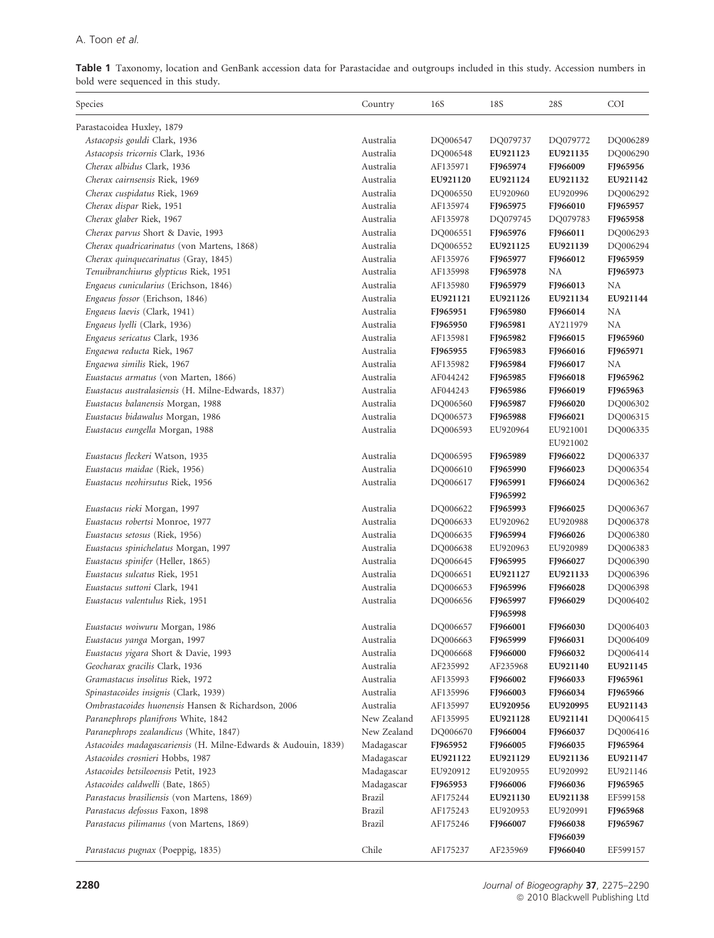| Table 1 Taxonomy, location and GenBank accession data for Parastacidae and outgroups included in this study. Accession numbers in |  |  |  |  |  |  |
|-----------------------------------------------------------------------------------------------------------------------------------|--|--|--|--|--|--|
| bold were sequenced in this study.                                                                                                |  |  |  |  |  |  |

| Species                                                        | Country       | 16S      | 18S                  | 28S                  | <b>COI</b> |
|----------------------------------------------------------------|---------------|----------|----------------------|----------------------|------------|
| Parastacoidea Huxley, 1879                                     |               |          |                      |                      |            |
| Astacopsis gouldi Clark, 1936                                  | Australia     | DQ006547 | DQ079737             | DQ079772             | DQ006289   |
| Astacopsis tricornis Clark, 1936                               | Australia     | DQ006548 | EU921123             | EU921135             | DQ006290   |
| Cherax albidus Clark, 1936                                     | Australia     | AF135971 | FJ965974             | FJ966009             | FJ965956   |
| Cherax cairnsensis Riek, 1969                                  | Australia     | EU921120 | EU921124             | EU921132             | EU921142   |
| Cherax cuspidatus Riek, 1969                                   | Australia     | DQ006550 | EU920960             | EU920996             | DQ006292   |
| Cherax dispar Riek, 1951                                       | Australia     | AF135974 | FJ965975             | FJ966010             | FJ965957   |
| Cherax glaber Riek, 1967                                       | Australia     | AF135978 | DQ079745             | DQ079783             | FJ965958   |
| Cherax parvus Short & Davie, 1993                              | Australia     | DQ006551 | FJ965976             | FJ966011             | DQ006293   |
| Cherax quadricarinatus (von Martens, 1868)                     | Australia     | DQ006552 | EU921125             | EU921139             | DQ006294   |
| Cherax quinquecarinatus (Gray, 1845)                           | Australia     | AF135976 | FJ965977             | FJ966012             | FJ965959   |
| Tenuibranchiurus glypticus Riek, 1951                          | Australia     | AF135998 | FJ965978             | NA                   | FJ965973   |
| Engaeus cunicularius (Erichson, 1846)                          | Australia     | AF135980 | FJ965979             | FJ966013             | NA         |
| Engaeus fossor (Erichson, 1846)                                | Australia     | EU921121 | EU921126             | EU921134             | EU921144   |
| Engaeus laevis (Clark, 1941)                                   | Australia     | FJ965951 | FJ965980             | FJ966014             | NA         |
| Engaeus lyelli (Clark, 1936)                                   | Australia     | FJ965950 | FJ965981             | AY211979             | NA         |
| Engaeus sericatus Clark, 1936                                  | Australia     | AF135981 | FJ965982             | FJ966015             | FJ965960   |
| Engaewa reducta Riek, 1967                                     | Australia     | FJ965955 | FJ965983             | FJ966016             | FJ965971   |
| Engaewa similis Riek, 1967                                     | Australia     | AF135982 | FJ965984             | FJ966017             | NA         |
| Euastacus armatus (von Marten, 1866)                           | Australia     | AF044242 | FJ965985             | FJ966018             | FJ965962   |
| Euastacus australasiensis (H. Milne-Edwards, 1837)             | Australia     | AF044243 | FJ965986             | FJ966019             | FJ965963   |
| Euastacus balanensis Morgan, 1988                              | Australia     | DQ006560 | FJ965987             | FJ966020             | DQ006302   |
| Euastacus bidawalus Morgan, 1986                               | Australia     | DQ006573 | FJ965988             | FJ966021             | DQ006315   |
| Euastacus eungella Morgan, 1988                                | Australia     | DQ006593 | EU920964             | EU921001<br>EU921002 | DQ006335   |
| Euastacus fleckeri Watson, 1935                                | Australia     | DQ006595 | FJ965989             | FJ966022             | DQ006337   |
| Euastacus maidae (Riek, 1956)                                  | Australia     | DQ006610 | FJ965990             | FJ966023             | DQ006354   |
| Euastacus neohirsutus Riek, 1956                               | Australia     | DQ006617 | FJ965991<br>FJ965992 | FJ966024             | DQ006362   |
| Euastacus rieki Morgan, 1997                                   | Australia     | DQ006622 | FJ965993             | FJ966025             | DQ006367   |
| Euastacus robertsi Monroe, 1977                                | Australia     | DQ006633 | EU920962             | EU920988             | DQ006378   |
| Euastacus setosus (Riek, 1956)                                 | Australia     | DQ006635 | FJ965994             | FJ966026             | DQ006380   |
| Euastacus spinichelatus Morgan, 1997                           | Australia     | DQ006638 | EU920963             | EU920989             | DQ006383   |
| Euastacus spinifer (Heller, 1865)                              | Australia     | DQ006645 | FJ965995             | FJ966027             | DQ006390   |
| Euastacus sulcatus Riek, 1951                                  | Australia     | DQ006651 | EU921127             | EU921133             | DQ006396   |
| Euastacus suttoni Clark, 1941                                  | Australia     | DQ006653 | FJ965996             | FJ966028             | DQ006398   |
| Euastacus valentulus Riek, 1951                                | Australia     | DQ006656 | FJ965997             | FJ966029             | DQ006402   |
|                                                                |               |          | FJ965998             |                      |            |
| Euastacus woiwuru Morgan, 1986                                 | Australia     | DQ006657 | FJ966001             | FJ966030             | DQ006403   |
| Euastacus yanga Morgan, 1997                                   | Australia     | DQ006663 | FJ965999             | FJ966031             | DQ006409   |
| Euastacus yigara Short & Davie, 1993                           | Australia     | DQ006668 | FJ966000             | FJ966032             | DQ006414   |
| Geocharax gracilis Clark, 1936                                 | Australia     | AF235992 | AF235968             | EU921140             | EU921145   |
| Gramastacus insolitus Riek, 1972                               | Australia     | AF135993 | FJ966002             | FJ966033             | FJ965961   |
| Spinastacoides insignis (Clark, 1939)                          | Australia     | AF135996 | FJ966003             | FJ966034             | FJ965966   |
| Ombrastacoides huonensis Hansen & Richardson, 2006             | Australia     | AF135997 | EU920956             | EU920995             | EU921143   |
| Paranephrops planifrons White, 1842                            | New Zealand   | AF135995 | EU921128             | EU921141             | DQ006415   |
| Paranephrops zealandicus (White, 1847)                         | New Zealand   | DQ006670 | FJ966004             | FJ966037             | DQ006416   |
| Astacoides madagascariensis (H. Milne-Edwards & Audouin, 1839) | Madagascar    | FJ965952 | FJ966005             | FJ966035             | FJ965964   |
| Astacoides crosnieri Hobbs, 1987                               | Madagascar    | EU921122 | EU921129             | EU921136             | EU921147   |
| Astacoides betsileoensis Petit, 1923                           | Madagascar    | EU920912 | EU920955             | EU920992             | EU921146   |
| Astacoides caldwelli (Bate, 1865)                              | Madagascar    | FJ965953 | FJ966006             | FJ966036             | FJ965965   |
| Parastacus brasiliensis (von Martens, 1869)                    | <b>Brazil</b> | AF175244 | EU921130             | EU921138             | EF599158   |
| Parastacus defossus Faxon, 1898                                | <b>Brazil</b> | AF175243 | EU920953             | EU920991             | FJ965968   |
| Parastacus pilimanus (von Martens, 1869)                       | Brazil        | AF175246 | FJ966007             | FJ966038             | FJ965967   |
|                                                                |               |          |                      | FJ966039             |            |
| Parastacus pugnax (Poeppig, 1835)                              | Chile         | AF175237 | AF235969             | FJ966040             | EF599157   |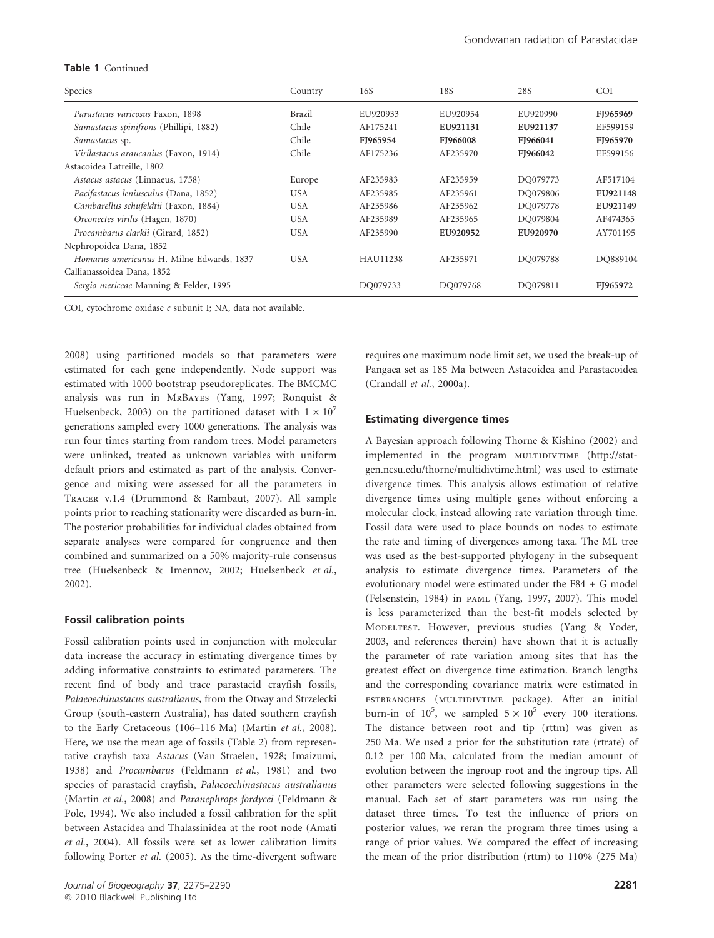| Species                                   | Country       | 16S      | 18S      | 28S      | <b>COI</b> |
|-------------------------------------------|---------------|----------|----------|----------|------------|
| Parastacus varicosus Faxon, 1898          | <b>Brazil</b> | EU920933 | EU920954 | EU920990 | FJ965969   |
| Samastacus spinifrons (Phillipi, 1882)    | Chile         | AF175241 | EU921131 | EU921137 | EF599159   |
| Samastacus sp.                            | Chile         | FI965954 | FJ966008 | FJ966041 | FJ965970   |
| Virilastacus araucanius (Faxon, 1914)     | Chile         | AF175236 | AF235970 | FI966042 | EF599156   |
| Astacoidea Latreille, 1802                |               |          |          |          |            |
| Astacus astacus (Linnaeus, 1758)          | Europe        | AF235983 | AF235959 | DQ079773 | AF517104   |
| Pacifastacus leniusculus (Dana, 1852)     | <b>USA</b>    | AF235985 | AF235961 | DQ079806 | EU921148   |
| Cambarellus schufeldtii (Faxon, 1884)     | <b>USA</b>    | AF235986 | AF235962 | DQ079778 | EU921149   |
| Orconectes virilis (Hagen, 1870)          | <b>USA</b>    | AF235989 | AF235965 | DQ079804 | AF474365   |
| Procambarus clarkii (Girard, 1852)        | <b>USA</b>    | AF235990 | EU920952 | EU920970 | AY701195   |
| Nephropoidea Dana, 1852                   |               |          |          |          |            |
| Homarus americanus H. Milne-Edwards, 1837 | <b>USA</b>    | HAU11238 | AF235971 | DO079788 | DQ889104   |
| Callianassoidea Dana, 1852                |               |          |          |          |            |
| Sergio mericeae Manning & Felder, 1995    |               | DQ079733 | DQ079768 | DQ079811 | FJ965972   |
|                                           |               |          |          |          |            |

Table 1 Continued

COI, cytochrome oxidase c subunit I; NA, data not available.

2008) using partitioned models so that parameters were estimated for each gene independently. Node support was estimated with 1000 bootstrap pseudoreplicates. The BMCMC analysis was run in MrBayes (Yang, 1997; Ronquist & Huelsenbeck, 2003) on the partitioned dataset with  $1 \times 10^{7}$ generations sampled every 1000 generations. The analysis was run four times starting from random trees. Model parameters were unlinked, treated as unknown variables with uniform default priors and estimated as part of the analysis. Convergence and mixing were assessed for all the parameters in Tracer v.1.4 (Drummond & Rambaut, 2007). All sample points prior to reaching stationarity were discarded as burn-in. The posterior probabilities for individual clades obtained from separate analyses were compared for congruence and then combined and summarized on a 50% majority-rule consensus tree (Huelsenbeck & Imennov, 2002; Huelsenbeck et al., 2002).

#### Fossil calibration points

Fossil calibration points used in conjunction with molecular data increase the accuracy in estimating divergence times by adding informative constraints to estimated parameters. The recent find of body and trace parastacid crayfish fossils, Palaeoechinastacus australianus, from the Otway and Strzelecki Group (south-eastern Australia), has dated southern crayfish to the Early Cretaceous (106–116 Ma) (Martin et al., 2008). Here, we use the mean age of fossils (Table 2) from representative crayfish taxa Astacus (Van Straelen, 1928; Imaizumi, 1938) and Procambarus (Feldmann et al., 1981) and two species of parastacid crayfish, Palaeoechinastacus australianus (Martin et al., 2008) and Paranephrops fordycei (Feldmann & Pole, 1994). We also included a fossil calibration for the split between Astacidea and Thalassinidea at the root node (Amati et al., 2004). All fossils were set as lower calibration limits following Porter et al. (2005). As the time-divergent software requires one maximum node limit set, we used the break-up of Pangaea set as 185 Ma between Astacoidea and Parastacoidea (Crandall et al., 2000a).

#### Estimating divergence times

A Bayesian approach following Thorne & Kishino (2002) and implemented in the program MULTIDIVTIME (http://statgen.ncsu.edu/thorne/multidivtime.html) was used to estimate divergence times. This analysis allows estimation of relative divergence times using multiple genes without enforcing a molecular clock, instead allowing rate variation through time. Fossil data were used to place bounds on nodes to estimate the rate and timing of divergences among taxa. The ML tree was used as the best-supported phylogeny in the subsequent analysis to estimate divergence times. Parameters of the evolutionary model were estimated under the F84 + G model (Felsenstein, 1984) in paml (Yang, 1997, 2007). This model is less parameterized than the best-fit models selected by MODELTEST. However, previous studies (Yang & Yoder, 2003, and references therein) have shown that it is actually the parameter of rate variation among sites that has the greatest effect on divergence time estimation. Branch lengths and the corresponding covariance matrix were estimated in estbranches (multidivtime package). After an initial burn-in of  $10^5$ , we sampled  $5 \times 10^5$  every 100 iterations. The distance between root and tip (rttm) was given as 250 Ma. We used a prior for the substitution rate (rtrate) of 0.12 per 100 Ma, calculated from the median amount of evolution between the ingroup root and the ingroup tips. All other parameters were selected following suggestions in the manual. Each set of start parameters was run using the dataset three times. To test the influence of priors on posterior values, we reran the program three times using a range of prior values. We compared the effect of increasing the mean of the prior distribution (rttm) to 110% (275 Ma)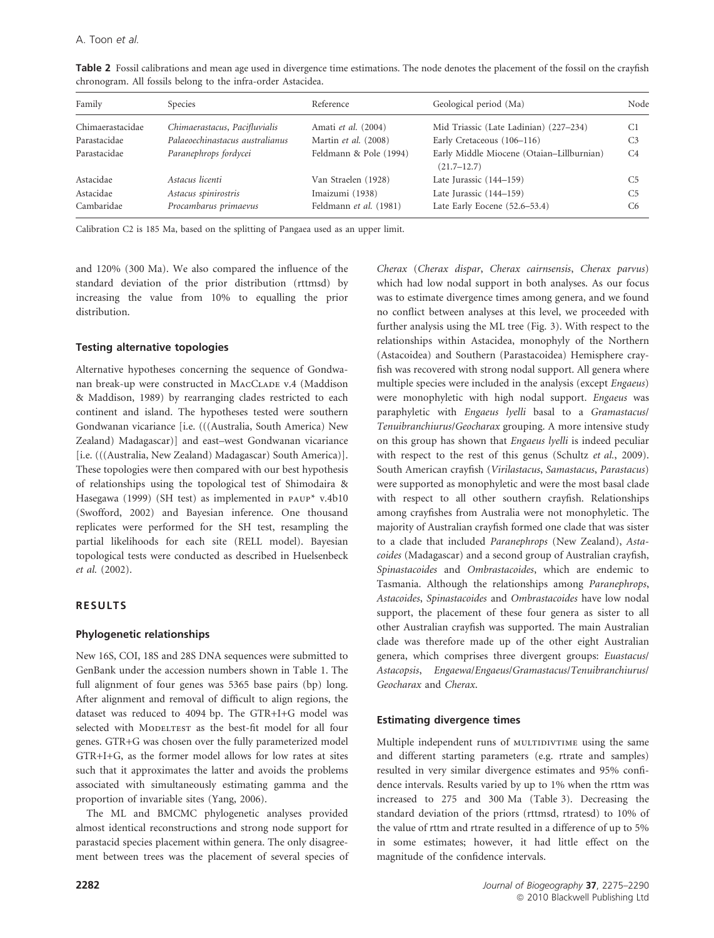| Family           | Species                         | Reference              | Geological period (Ma)                                       | Node           |
|------------------|---------------------------------|------------------------|--------------------------------------------------------------|----------------|
| Chimaerastacidae | Chimaerastacus, Pacifluvialis   | Amati et al. (2004)    | Mid Triassic (Late Ladinian) (227-234)                       | C1             |
| Parastacidae     | Palaeoechinastacus australianus | Martin et al. (2008)   | Early Cretaceous (106-116)                                   | C <sub>3</sub> |
| Parastacidae     | Paranephrops fordycei           | Feldmann & Pole (1994) | Early Middle Miocene (Otaian-Lillburnian)<br>$(21.7 - 12.7)$ | C4             |
| Astacidae        | Astacus licenti                 | Van Straelen (1928)    | Late Jurassic (144–159)                                      | C <sub>5</sub> |
| Astacidae        | Astacus spinirostris            | Imaizumi (1938)        | Late Jurassic (144-159)                                      | C <sub>5</sub> |
| Cambaridae       | Procambarus primaevus           | Feldmann et al. (1981) | Late Early Eocene (52.6–53.4)                                | C6             |

Table 2 Fossil calibrations and mean age used in divergence time estimations. The node denotes the placement of the fossil on the crayfish chronogram. All fossils belong to the infra-order Astacidea.

Calibration C2 is 185 Ma, based on the splitting of Pangaea used as an upper limit.

and 120% (300 Ma). We also compared the influence of the standard deviation of the prior distribution (rttmsd) by increasing the value from 10% to equalling the prior distribution.

## Testing alternative topologies

Alternative hypotheses concerning the sequence of Gondwanan break-up were constructed in MACCLADE v.4 (Maddison & Maddison, 1989) by rearranging clades restricted to each continent and island. The hypotheses tested were southern Gondwanan vicariance [i.e. (((Australia, South America) New Zealand) Madagascar)] and east–west Gondwanan vicariance [i.e. (((Australia, New Zealand) Madagascar) South America)]. These topologies were then compared with our best hypothesis of relationships using the topological test of Shimodaira & Hasegawa (1999) (SH test) as implemented in paup\* v.4b10 (Swofford, 2002) and Bayesian inference. One thousand replicates were performed for the SH test, resampling the partial likelihoods for each site (RELL model). Bayesian topological tests were conducted as described in Huelsenbeck et al. (2002).

# RESULTS

## Phylogenetic relationships

New 16S, COI, 18S and 28S DNA sequences were submitted to GenBank under the accession numbers shown in Table 1. The full alignment of four genes was 5365 base pairs (bp) long. After alignment and removal of difficult to align regions, the dataset was reduced to 4094 bp. The GTR+I+G model was selected with MODELTEST as the best-fit model for all four genes. GTR+G was chosen over the fully parameterized model GTR+I+G, as the former model allows for low rates at sites such that it approximates the latter and avoids the problems associated with simultaneously estimating gamma and the proportion of invariable sites (Yang, 2006).

The ML and BMCMC phylogenetic analyses provided almost identical reconstructions and strong node support for parastacid species placement within genera. The only disagreement between trees was the placement of several species of Cherax (Cherax dispar, Cherax cairnsensis, Cherax parvus) which had low nodal support in both analyses. As our focus was to estimate divergence times among genera, and we found no conflict between analyses at this level, we proceeded with further analysis using the ML tree (Fig. 3). With respect to the relationships within Astacidea, monophyly of the Northern (Astacoidea) and Southern (Parastacoidea) Hemisphere crayfish was recovered with strong nodal support. All genera where multiple species were included in the analysis (except Engaeus) were monophyletic with high nodal support. Engaeus was paraphyletic with Engaeus lyelli basal to a Gramastacus/ Tenuibranchiurus/Geocharax grouping. A more intensive study on this group has shown that Engaeus lyelli is indeed peculiar with respect to the rest of this genus (Schultz et al., 2009). South American crayfish (Virilastacus, Samastacus, Parastacus) were supported as monophyletic and were the most basal clade with respect to all other southern crayfish. Relationships among crayfishes from Australia were not monophyletic. The majority of Australian crayfish formed one clade that was sister to a clade that included Paranephrops (New Zealand), Astacoides (Madagascar) and a second group of Australian crayfish, Spinastacoides and Ombrastacoides, which are endemic to Tasmania. Although the relationships among Paranephrops, Astacoides, Spinastacoides and Ombrastacoides have low nodal support, the placement of these four genera as sister to all other Australian crayfish was supported. The main Australian clade was therefore made up of the other eight Australian genera, which comprises three divergent groups: Euastacus/ Astacopsis, Engaewa/Engaeus/Gramastacus/Tenuibranchiurus/ Geocharax and Cherax.

## Estimating divergence times

Multiple independent runs of MULTIDIVTIME using the same and different starting parameters (e.g. rtrate and samples) resulted in very similar divergence estimates and 95% confidence intervals. Results varied by up to 1% when the rttm was increased to 275 and 300 Ma (Table 3). Decreasing the standard deviation of the priors (rttmsd, rtratesd) to 10% of the value of rttm and rtrate resulted in a difference of up to 5% in some estimates; however, it had little effect on the magnitude of the confidence intervals.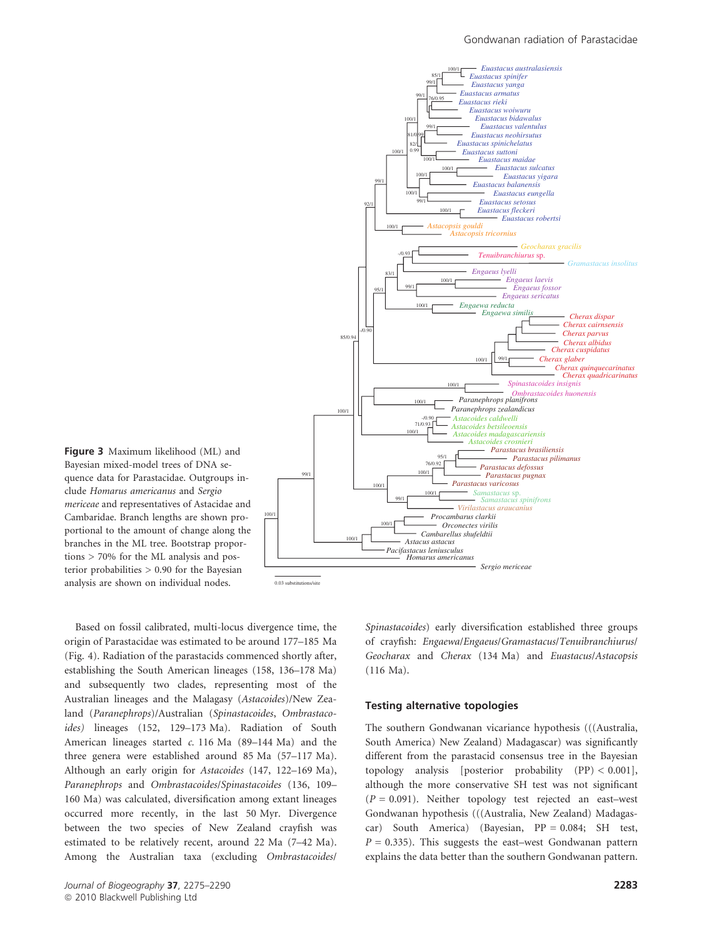

Figure 3 Maximum likelihood (ML) and Bayesian mixed-model trees of DNA sequence data for Parastacidae. Outgroups include Homarus americanus and Sergio mericeae and representatives of Astacidae and Cambaridae. Branch lengths are shown proportional to the amount of change along the branches in the ML tree. Bootstrap proportions > 70% for the ML analysis and posterior probabilities > 0.90 for the Bayesian analysis are shown on individual nodes.

Based on fossil calibrated, multi-locus divergence time, the origin of Parastacidae was estimated to be around 177–185 Ma (Fig. 4). Radiation of the parastacids commenced shortly after, establishing the South American lineages (158, 136–178 Ma) and subsequently two clades, representing most of the Australian lineages and the Malagasy (Astacoides)/New Zealand (Paranephrops)/Australian (Spinastacoides, Ombrastacoides) lineages (152, 129–173 Ma). Radiation of South American lineages started c. 116 Ma (89–144 Ma) and the three genera were established around 85 Ma (57–117 Ma). Although an early origin for Astacoides (147, 122–169 Ma), Paranephrops and Ombrastacoides/Spinastacoides (136, 109– 160 Ma) was calculated, diversification among extant lineages occurred more recently, in the last 50 Myr. Divergence between the two species of New Zealand crayfish was estimated to be relatively recent, around 22 Ma (7–42 Ma). Among the Australian taxa (excluding Ombrastacoides/

Spinastacoides) early diversification established three groups of crayfish: Engaewa/Engaeus/Gramastacus/Tenuibranchiurus/ Geocharax and Cherax (134 Ma) and Euastacus/Astacopsis (116 Ma).

#### Testing alternative topologies

The southern Gondwanan vicariance hypothesis (((Australia, South America) New Zealand) Madagascar) was significantly different from the parastacid consensus tree in the Bayesian topology analysis [posterior probability  $(PP) < 0.001$ ], although the more conservative SH test was not significant  $(P = 0.091)$ . Neither topology test rejected an east-west Gondwanan hypothesis (((Australia, New Zealand) Madagascar) South America) (Bayesian, PP = 0.084; SH test,  $P = 0.335$ ). This suggests the east-west Gondwanan pattern explains the data better than the southern Gondwanan pattern.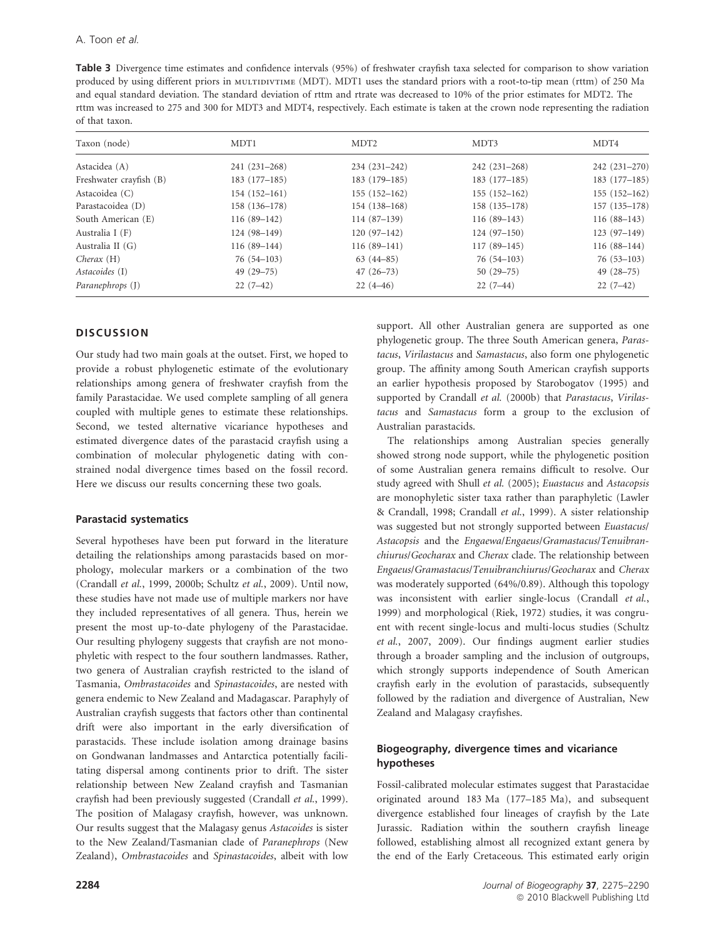Table 3 Divergence time estimates and confidence intervals (95%) of freshwater crayfish taxa selected for comparison to show variation produced by using different priors in MULTIDIVTIME (MDT). MDT1 uses the standard priors with a root-to-tip mean (rttm) of 250 Ma and equal standard deviation. The standard deviation of rttm and rtrate was decreased to 10% of the prior estimates for MDT2. The rttm was increased to 275 and 300 for MDT3 and MDT4, respectively. Each estimate is taken at the crown node representing the radiation of that taxon.

| Taxon (node)            | MDT1             | MDT <sub>2</sub> | MDT3             | MDT4           |
|-------------------------|------------------|------------------|------------------|----------------|
| Astacidea (A)           | 241 (231-268)    | $234(231-242)$   | 242 (231-268)    | 242 (231-270)  |
| Freshwater crayfish (B) | $183(177-185)$   | 183 (179-185)    | $183(177-185)$   | $183(177-185)$ |
| Astacoidea (C)          | $154(152 - 161)$ | $155(152 - 162)$ | $155(152 - 162)$ | $155(152-162)$ |
| Parastacoidea (D)       | $158(136-178)$   | $154(138-168)$   | $158(135-178)$   | $157(135-178)$ |
| South American (E)      | $116(89-142)$    | $114(87-139)$    | $116(89-143)$    | $116(88-143)$  |
| Australia I (F)         | $124(98-149)$    | $120(97-142)$    | $124(97-150)$    | $123(97-149)$  |
| Australia II (G)        | $116(89-144)$    | $116(89-141)$    | $117(89-145)$    | $116(88-144)$  |
| Cherax(H)               | $76(54 - 103)$   | $63(44-85)$      | $76(54 - 103)$   | $76(53-103)$   |
| Astacoides (I)          | $49(29 - 75)$    | $47(26 - 73)$    | $50(29 - 75)$    | $49(28 - 75)$  |
| Paranephrops (J)        | $22(7-42)$       | $22(4-46)$       | $22(7-44)$       | $22(7-42)$     |

# **DISCUSSION**

Our study had two main goals at the outset. First, we hoped to provide a robust phylogenetic estimate of the evolutionary relationships among genera of freshwater crayfish from the family Parastacidae. We used complete sampling of all genera coupled with multiple genes to estimate these relationships. Second, we tested alternative vicariance hypotheses and estimated divergence dates of the parastacid crayfish using a combination of molecular phylogenetic dating with constrained nodal divergence times based on the fossil record. Here we discuss our results concerning these two goals.

#### Parastacid systematics

Several hypotheses have been put forward in the literature detailing the relationships among parastacids based on morphology, molecular markers or a combination of the two (Crandall et al., 1999, 2000b; Schultz et al., 2009). Until now, these studies have not made use of multiple markers nor have they included representatives of all genera. Thus, herein we present the most up-to-date phylogeny of the Parastacidae. Our resulting phylogeny suggests that crayfish are not monophyletic with respect to the four southern landmasses. Rather, two genera of Australian crayfish restricted to the island of Tasmania, Ombrastacoides and Spinastacoides, are nested with genera endemic to New Zealand and Madagascar. Paraphyly of Australian crayfish suggests that factors other than continental drift were also important in the early diversification of parastacids. These include isolation among drainage basins on Gondwanan landmasses and Antarctica potentially facilitating dispersal among continents prior to drift. The sister relationship between New Zealand crayfish and Tasmanian crayfish had been previously suggested (Crandall et al., 1999). The position of Malagasy crayfish, however, was unknown. Our results suggest that the Malagasy genus Astacoides is sister to the New Zealand/Tasmanian clade of Paranephrops (New Zealand), Ombrastacoides and Spinastacoides, albeit with low

support. All other Australian genera are supported as one phylogenetic group. The three South American genera, Parastacus, Virilastacus and Samastacus, also form one phylogenetic group. The affinity among South American crayfish supports an earlier hypothesis proposed by Starobogatov (1995) and supported by Crandall et al. (2000b) that Parastacus, Virilastacus and Samastacus form a group to the exclusion of Australian parastacids.

The relationships among Australian species generally showed strong node support, while the phylogenetic position of some Australian genera remains difficult to resolve. Our study agreed with Shull et al. (2005); Euastacus and Astacopsis are monophyletic sister taxa rather than paraphyletic (Lawler & Crandall, 1998; Crandall et al., 1999). A sister relationship was suggested but not strongly supported between Euastacus/ Astacopsis and the Engaewa/Engaeus/Gramastacus/Tenuibranchiurus/Geocharax and Cherax clade. The relationship between Engaeus/Gramastacus/Tenuibranchiurus/Geocharax and Cherax was moderately supported (64%/0.89). Although this topology was inconsistent with earlier single-locus (Crandall et al., 1999) and morphological (Riek, 1972) studies, it was congruent with recent single-locus and multi-locus studies (Schultz et al., 2007, 2009). Our findings augment earlier studies through a broader sampling and the inclusion of outgroups, which strongly supports independence of South American crayfish early in the evolution of parastacids, subsequently followed by the radiation and divergence of Australian, New Zealand and Malagasy crayfishes.

# Biogeography, divergence times and vicariance hypotheses

Fossil-calibrated molecular estimates suggest that Parastacidae originated around 183 Ma (177–185 Ma), and subsequent divergence established four lineages of crayfish by the Late Jurassic. Radiation within the southern crayfish lineage followed, establishing almost all recognized extant genera by the end of the Early Cretaceous. This estimated early origin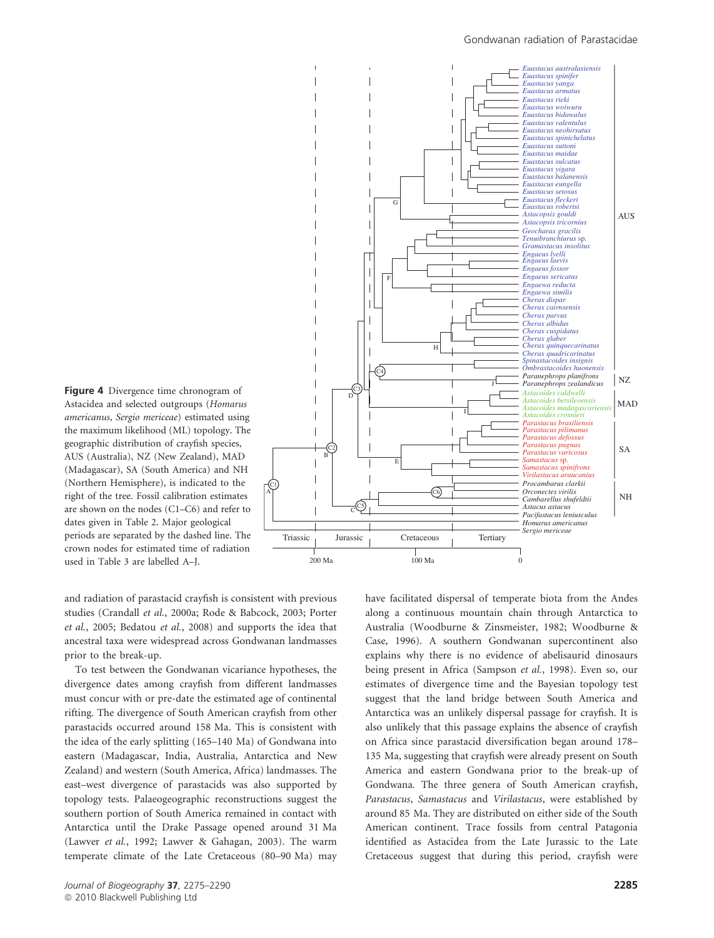

Figure 4 Divergence time chronogram of Astacidea and selected outgroups (Homarus americanus, Sergio mericeae) estimated using the maximum likelihood (ML) topology. The geographic distribution of crayfish species, AUS (Australia), NZ (New Zealand), MAD (Madagascar), SA (South America) and NH (Northern Hemisphere), is indicated to the right of the tree. Fossil calibration estimates are shown on the nodes (C1–C6) and refer to dates given in Table 2. Major geological periods are separated by the dashed line. The crown nodes for estimated time of radiation used in Table 3 are labelled A–J.

and radiation of parastacid crayfish is consistent with previous studies (Crandall et al., 2000a; Rode & Babcock, 2003; Porter et al., 2005; Bedatou et al., 2008) and supports the idea that ancestral taxa were widespread across Gondwanan landmasses prior to the break-up.

To test between the Gondwanan vicariance hypotheses, the divergence dates among crayfish from different landmasses must concur with or pre-date the estimated age of continental rifting. The divergence of South American crayfish from other parastacids occurred around 158 Ma. This is consistent with the idea of the early splitting (165–140 Ma) of Gondwana into eastern (Madagascar, India, Australia, Antarctica and New Zealand) and western (South America, Africa) landmasses. The east–west divergence of parastacids was also supported by topology tests. Palaeogeographic reconstructions suggest the southern portion of South America remained in contact with Antarctica until the Drake Passage opened around 31 Ma (Lawver et al., 1992; Lawver & Gahagan, 2003). The warm temperate climate of the Late Cretaceous (80–90 Ma) may

Journal of Biogeography 37, 2275–2290 2285  $@$  2010 Blackwell Publishing Ltd

have facilitated dispersal of temperate biota from the Andes along a continuous mountain chain through Antarctica to Australia (Woodburne & Zinsmeister, 1982; Woodburne & Case, 1996). A southern Gondwanan supercontinent also explains why there is no evidence of abelisaurid dinosaurs being present in Africa (Sampson et al., 1998). Even so, our estimates of divergence time and the Bayesian topology test suggest that the land bridge between South America and Antarctica was an unlikely dispersal passage for crayfish. It is also unlikely that this passage explains the absence of crayfish on Africa since parastacid diversification began around 178– 135 Ma, suggesting that crayfish were already present on South America and eastern Gondwana prior to the break-up of Gondwana. The three genera of South American crayfish, Parastacus, Samastacus and Virilastacus, were established by around 85 Ma. They are distributed on either side of the South American continent. Trace fossils from central Patagonia identified as Astacidea from the Late Jurassic to the Late Cretaceous suggest that during this period, crayfish were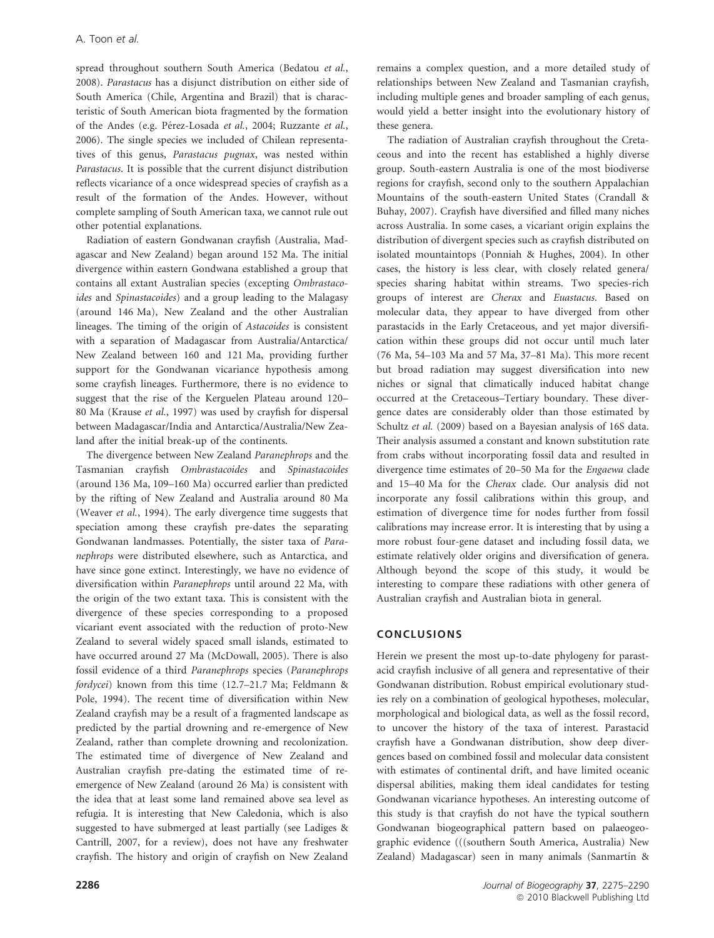spread throughout southern South America (Bedatou et al., 2008). Parastacus has a disjunct distribution on either side of South America (Chile, Argentina and Brazil) that is characteristic of South American biota fragmented by the formation of the Andes (e.g. Pérez-Losada et al., 2004; Ruzzante et al., 2006). The single species we included of Chilean representatives of this genus, Parastacus pugnax, was nested within Parastacus. It is possible that the current disjunct distribution reflects vicariance of a once widespread species of crayfish as a result of the formation of the Andes. However, without complete sampling of South American taxa, we cannot rule out other potential explanations.

Radiation of eastern Gondwanan crayfish (Australia, Madagascar and New Zealand) began around 152 Ma. The initial divergence within eastern Gondwana established a group that contains all extant Australian species (excepting Ombrastacoides and Spinastacoides) and a group leading to the Malagasy (around 146 Ma), New Zealand and the other Australian lineages. The timing of the origin of Astacoides is consistent with a separation of Madagascar from Australia/Antarctica/ New Zealand between 160 and 121 Ma, providing further support for the Gondwanan vicariance hypothesis among some crayfish lineages. Furthermore, there is no evidence to suggest that the rise of the Kerguelen Plateau around 120– 80 Ma (Krause et al., 1997) was used by crayfish for dispersal between Madagascar/India and Antarctica/Australia/New Zealand after the initial break-up of the continents.

The divergence between New Zealand Paranephrops and the Tasmanian crayfish Ombrastacoides and Spinastacoides (around 136 Ma, 109–160 Ma) occurred earlier than predicted by the rifting of New Zealand and Australia around 80 Ma (Weaver *et al.*, 1994). The early divergence time suggests that speciation among these crayfish pre-dates the separating Gondwanan landmasses. Potentially, the sister taxa of Paranephrops were distributed elsewhere, such as Antarctica, and have since gone extinct. Interestingly, we have no evidence of diversification within Paranephrops until around 22 Ma, with the origin of the two extant taxa. This is consistent with the divergence of these species corresponding to a proposed vicariant event associated with the reduction of proto-New Zealand to several widely spaced small islands, estimated to have occurred around 27 Ma (McDowall, 2005). There is also fossil evidence of a third Paranephrops species (Paranephrops fordycei) known from this time (12.7–21.7 Ma; Feldmann & Pole, 1994). The recent time of diversification within New Zealand crayfish may be a result of a fragmented landscape as predicted by the partial drowning and re-emergence of New Zealand, rather than complete drowning and recolonization. The estimated time of divergence of New Zealand and Australian crayfish pre-dating the estimated time of reemergence of New Zealand (around 26 Ma) is consistent with the idea that at least some land remained above sea level as refugia. It is interesting that New Caledonia, which is also suggested to have submerged at least partially (see Ladiges & Cantrill, 2007, for a review), does not have any freshwater crayfish. The history and origin of crayfish on New Zealand remains a complex question, and a more detailed study of relationships between New Zealand and Tasmanian crayfish, including multiple genes and broader sampling of each genus, would yield a better insight into the evolutionary history of these genera.

The radiation of Australian crayfish throughout the Cretaceous and into the recent has established a highly diverse group. South-eastern Australia is one of the most biodiverse regions for crayfish, second only to the southern Appalachian Mountains of the south-eastern United States (Crandall & Buhay, 2007). Crayfish have diversified and filled many niches across Australia. In some cases, a vicariant origin explains the distribution of divergent species such as crayfish distributed on isolated mountaintops (Ponniah & Hughes, 2004). In other cases, the history is less clear, with closely related genera/ species sharing habitat within streams. Two species-rich groups of interest are Cherax and Euastacus. Based on molecular data, they appear to have diverged from other parastacids in the Early Cretaceous, and yet major diversification within these groups did not occur until much later (76 Ma, 54–103 Ma and 57 Ma, 37–81 Ma). This more recent but broad radiation may suggest diversification into new niches or signal that climatically induced habitat change occurred at the Cretaceous–Tertiary boundary. These divergence dates are considerably older than those estimated by Schultz et al. (2009) based on a Bayesian analysis of 16S data. Their analysis assumed a constant and known substitution rate from crabs without incorporating fossil data and resulted in divergence time estimates of 20–50 Ma for the Engaewa clade and 15–40 Ma for the Cherax clade. Our analysis did not incorporate any fossil calibrations within this group, and estimation of divergence time for nodes further from fossil calibrations may increase error. It is interesting that by using a more robust four-gene dataset and including fossil data, we estimate relatively older origins and diversification of genera. Although beyond the scope of this study, it would be interesting to compare these radiations with other genera of Australian crayfish and Australian biota in general.

## CONCLUSIONS

Herein we present the most up-to-date phylogeny for parastacid crayfish inclusive of all genera and representative of their Gondwanan distribution. Robust empirical evolutionary studies rely on a combination of geological hypotheses, molecular, morphological and biological data, as well as the fossil record, to uncover the history of the taxa of interest. Parastacid crayfish have a Gondwanan distribution, show deep divergences based on combined fossil and molecular data consistent with estimates of continental drift, and have limited oceanic dispersal abilities, making them ideal candidates for testing Gondwanan vicariance hypotheses. An interesting outcome of this study is that crayfish do not have the typical southern Gondwanan biogeographical pattern based on palaeogeographic evidence (((southern South America, Australia) New Zealand) Madagascar) seen in many animals (Sanmartín &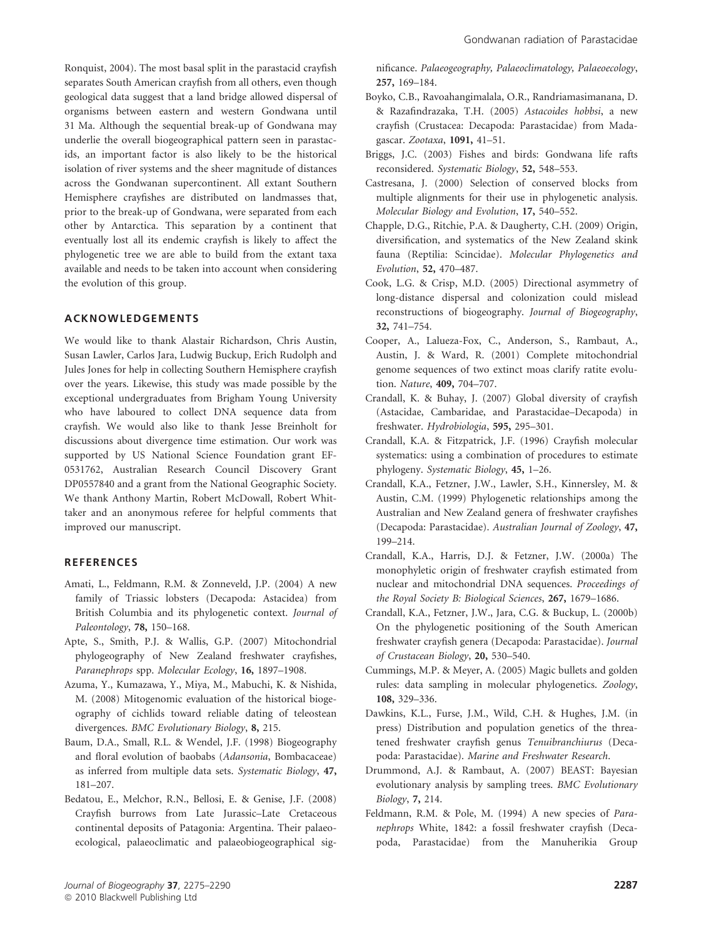Ronquist, 2004). The most basal split in the parastacid crayfish separates South American crayfish from all others, even though geological data suggest that a land bridge allowed dispersal of organisms between eastern and western Gondwana until 31 Ma. Although the sequential break-up of Gondwana may underlie the overall biogeographical pattern seen in parastacids, an important factor is also likely to be the historical isolation of river systems and the sheer magnitude of distances across the Gondwanan supercontinent. All extant Southern Hemisphere crayfishes are distributed on landmasses that, prior to the break-up of Gondwana, were separated from each other by Antarctica. This separation by a continent that eventually lost all its endemic crayfish is likely to affect the phylogenetic tree we are able to build from the extant taxa available and needs to be taken into account when considering the evolution of this group.

# ACKNOWLEDGEMENTS

We would like to thank Alastair Richardson, Chris Austin, Susan Lawler, Carlos Jara, Ludwig Buckup, Erich Rudolph and Jules Jones for help in collecting Southern Hemisphere crayfish over the years. Likewise, this study was made possible by the exceptional undergraduates from Brigham Young University who have laboured to collect DNA sequence data from crayfish. We would also like to thank Jesse Breinholt for discussions about divergence time estimation. Our work was supported by US National Science Foundation grant EF-0531762, Australian Research Council Discovery Grant DP0557840 and a grant from the National Geographic Society. We thank Anthony Martin, Robert McDowall, Robert Whittaker and an anonymous referee for helpful comments that improved our manuscript.

#### **REFERENCES**

- Amati, L., Feldmann, R.M. & Zonneveld, J.P. (2004) A new family of Triassic lobsters (Decapoda: Astacidea) from British Columbia and its phylogenetic context. Journal of Paleontology, 78, 150–168.
- Apte, S., Smith, P.J. & Wallis, G.P. (2007) Mitochondrial phylogeography of New Zealand freshwater crayfishes, Paranephrops spp. Molecular Ecology, 16, 1897–1908.
- Azuma, Y., Kumazawa, Y., Miya, M., Mabuchi, K. & Nishida, M. (2008) Mitogenomic evaluation of the historical biogeography of cichlids toward reliable dating of teleostean divergences. BMC Evolutionary Biology, 8, 215.
- Baum, D.A., Small, R.L. & Wendel, J.F. (1998) Biogeography and floral evolution of baobabs (Adansonia, Bombacaceae) as inferred from multiple data sets. Systematic Biology, 47, 181–207.
- Bedatou, E., Melchor, R.N., Bellosi, E. & Genise, J.F. (2008) Crayfish burrows from Late Jurassic–Late Cretaceous continental deposits of Patagonia: Argentina. Their palaeoecological, palaeoclimatic and palaeobiogeographical sig-

nificance. Palaeogeography, Palaeoclimatology, Palaeoecology, 257, 169–184.

- Boyko, C.B., Ravoahangimalala, O.R., Randriamasimanana, D. & Razafindrazaka, T.H. (2005) Astacoides hobbsi, a new crayfish (Crustacea: Decapoda: Parastacidae) from Madagascar. Zootaxa, 1091, 41–51.
- Briggs, J.C. (2003) Fishes and birds: Gondwana life rafts reconsidered. Systematic Biology, 52, 548–553.
- Castresana, J. (2000) Selection of conserved blocks from multiple alignments for their use in phylogenetic analysis. Molecular Biology and Evolution, 17, 540–552.
- Chapple, D.G., Ritchie, P.A. & Daugherty, C.H. (2009) Origin, diversification, and systematics of the New Zealand skink fauna (Reptilia: Scincidae). Molecular Phylogenetics and Evolution, 52, 470–487.
- Cook, L.G. & Crisp, M.D. (2005) Directional asymmetry of long-distance dispersal and colonization could mislead reconstructions of biogeography. Journal of Biogeography, 32, 741–754.
- Cooper, A., Lalueza-Fox, C., Anderson, S., Rambaut, A., Austin, J. & Ward, R. (2001) Complete mitochondrial genome sequences of two extinct moas clarify ratite evolution. Nature, 409, 704–707.
- Crandall, K. & Buhay, J. (2007) Global diversity of crayfish (Astacidae, Cambaridae, and Parastacidae–Decapoda) in freshwater. Hydrobiologia, 595, 295–301.
- Crandall, K.A. & Fitzpatrick, J.F. (1996) Crayfish molecular systematics: using a combination of procedures to estimate phylogeny. Systematic Biology, 45, 1–26.
- Crandall, K.A., Fetzner, J.W., Lawler, S.H., Kinnersley, M. & Austin, C.M. (1999) Phylogenetic relationships among the Australian and New Zealand genera of freshwater crayfishes (Decapoda: Parastacidae). Australian Journal of Zoology, 47, 199–214.
- Crandall, K.A., Harris, D.J. & Fetzner, J.W. (2000a) The monophyletic origin of freshwater crayfish estimated from nuclear and mitochondrial DNA sequences. Proceedings of the Royal Society B: Biological Sciences, 267, 1679–1686.
- Crandall, K.A., Fetzner, J.W., Jara, C.G. & Buckup, L. (2000b) On the phylogenetic positioning of the South American freshwater crayfish genera (Decapoda: Parastacidae). Journal of Crustacean Biology, 20, 530–540.
- Cummings, M.P. & Meyer, A. (2005) Magic bullets and golden rules: data sampling in molecular phylogenetics. Zoology, 108, 329–336.
- Dawkins, K.L., Furse, J.M., Wild, C.H. & Hughes, J.M. (in press) Distribution and population genetics of the threatened freshwater crayfish genus Tenuibranchiurus (Decapoda: Parastacidae). Marine and Freshwater Research.
- Drummond, A.J. & Rambaut, A. (2007) BEAST: Bayesian evolutionary analysis by sampling trees. BMC Evolutionary Biology, 7, 214.
- Feldmann, R.M. & Pole, M. (1994) A new species of Paranephrops White, 1842: a fossil freshwater crayfish (Decapoda, Parastacidae) from the Manuherikia Group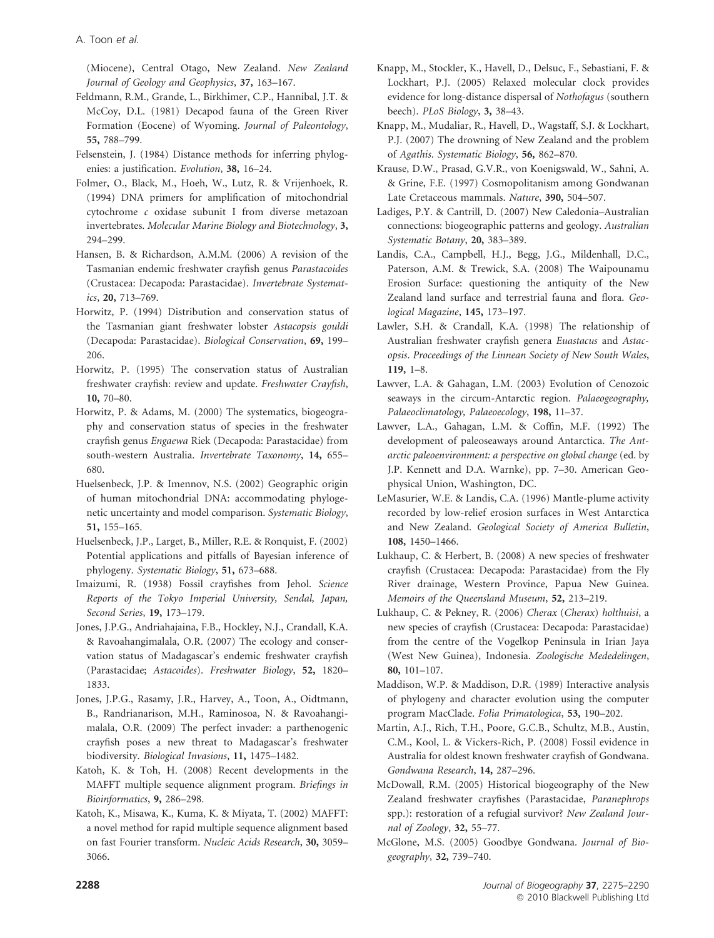(Miocene), Central Otago, New Zealand. New Zealand Journal of Geology and Geophysics, 37, 163–167.

- Feldmann, R.M., Grande, L., Birkhimer, C.P., Hannibal, J.T. & McCoy, D.L. (1981) Decapod fauna of the Green River Formation (Eocene) of Wyoming. Journal of Paleontology, 55, 788–799.
- Felsenstein, J. (1984) Distance methods for inferring phylogenies: a justification. Evolution, 38, 16–24.
- Folmer, O., Black, M., Hoeh, W., Lutz, R. & Vrijenhoek, R. (1994) DNA primers for amplification of mitochondrial cytochrome c oxidase subunit I from diverse metazoan invertebrates. Molecular Marine Biology and Biotechnology, 3, 294–299.
- Hansen, B. & Richardson, A.M.M. (2006) A revision of the Tasmanian endemic freshwater crayfish genus Parastacoides (Crustacea: Decapoda: Parastacidae). Invertebrate Systematics, 20, 713–769.
- Horwitz, P. (1994) Distribution and conservation status of the Tasmanian giant freshwater lobster Astacopsis gouldi (Decapoda: Parastacidae). Biological Conservation, 69, 199– 206.
- Horwitz, P. (1995) The conservation status of Australian freshwater crayfish: review and update. Freshwater Crayfish, 10, 70–80.
- Horwitz, P. & Adams, M. (2000) The systematics, biogeography and conservation status of species in the freshwater crayfish genus Engaewa Riek (Decapoda: Parastacidae) from south-western Australia. Invertebrate Taxonomy, 14, 655– 680.
- Huelsenbeck, J.P. & Imennov, N.S. (2002) Geographic origin of human mitochondrial DNA: accommodating phylogenetic uncertainty and model comparison. Systematic Biology, 51, 155–165.
- Huelsenbeck, J.P., Larget, B., Miller, R.E. & Ronquist, F. (2002) Potential applications and pitfalls of Bayesian inference of phylogeny. Systematic Biology, 51, 673–688.
- Imaizumi, R. (1938) Fossil crayfishes from Jehol. Science Reports of the Tokyo Imperial University, Sendal, Japan, Second Series, 19, 173–179.
- Jones, J.P.G., Andriahajaina, F.B., Hockley, N.J., Crandall, K.A. & Ravoahangimalala, O.R. (2007) The ecology and conservation status of Madagascar's endemic freshwater crayfish (Parastacidae; Astacoides). Freshwater Biology, 52, 1820– 1833.
- Jones, J.P.G., Rasamy, J.R., Harvey, A., Toon, A., Oidtmann, B., Randrianarison, M.H., Raminosoa, N. & Ravoahangimalala, O.R. (2009) The perfect invader: a parthenogenic crayfish poses a new threat to Madagascar's freshwater biodiversity. Biological Invasions, 11, 1475–1482.
- Katoh, K. & Toh, H. (2008) Recent developments in the MAFFT multiple sequence alignment program. Briefings in Bioinformatics, 9, 286–298.
- Katoh, K., Misawa, K., Kuma, K. & Miyata, T. (2002) MAFFT: a novel method for rapid multiple sequence alignment based on fast Fourier transform. Nucleic Acids Research, 30, 3059– 3066.
- Knapp, M., Stockler, K., Havell, D., Delsuc, F., Sebastiani, F. & Lockhart, P.J. (2005) Relaxed molecular clock provides evidence for long-distance dispersal of Nothofagus (southern beech). PLoS Biology, 3, 38–43.
- Knapp, M., Mudaliar, R., Havell, D., Wagstaff, S.J. & Lockhart, P.J. (2007) The drowning of New Zealand and the problem of Agathis. Systematic Biology, 56, 862–870.
- Krause, D.W., Prasad, G.V.R., von Koenigswald, W., Sahni, A. & Grine, F.E. (1997) Cosmopolitanism among Gondwanan Late Cretaceous mammals. Nature, 390, 504–507.
- Ladiges, P.Y. & Cantrill, D. (2007) New Caledonia–Australian connections: biogeographic patterns and geology. Australian Systematic Botany, 20, 383–389.
- Landis, C.A., Campbell, H.J., Begg, J.G., Mildenhall, D.C., Paterson, A.M. & Trewick, S.A. (2008) The Waipounamu Erosion Surface: questioning the antiquity of the New Zealand land surface and terrestrial fauna and flora. Geological Magazine, 145, 173–197.
- Lawler, S.H. & Crandall, K.A. (1998) The relationship of Australian freshwater crayfish genera Euastacus and Astacopsis. Proceedings of the Linnean Society of New South Wales, 119, 1–8.
- Lawver, L.A. & Gahagan, L.M. (2003) Evolution of Cenozoic seaways in the circum-Antarctic region. Palaeogeography, Palaeoclimatology, Palaeoecology, 198, 11–37.
- Lawver, L.A., Gahagan, L.M. & Coffin, M.F. (1992) The development of paleoseaways around Antarctica. The Antarctic paleoenvironment: a perspective on global change (ed. by J.P. Kennett and D.A. Warnke), pp. 7–30. American Geophysical Union, Washington, DC.
- LeMasurier, W.E. & Landis, C.A. (1996) Mantle-plume activity recorded by low-relief erosion surfaces in West Antarctica and New Zealand. Geological Society of America Bulletin, 108, 1450–1466.
- Lukhaup, C. & Herbert, B. (2008) A new species of freshwater crayfish (Crustacea: Decapoda: Parastacidae) from the Fly River drainage, Western Province, Papua New Guinea. Memoirs of the Queensland Museum, 52, 213–219.
- Lukhaup, C. & Pekney, R. (2006) Cherax (Cherax) holthuisi, a new species of crayfish (Crustacea: Decapoda: Parastacidae) from the centre of the Vogelkop Peninsula in Irian Jaya (West New Guinea), Indonesia. Zoologische Mededelingen, 80, 101–107.
- Maddison, W.P. & Maddison, D.R. (1989) Interactive analysis of phylogeny and character evolution using the computer program MacClade. Folia Primatologica, 53, 190–202.
- Martin, A.J., Rich, T.H., Poore, G.C.B., Schultz, M.B., Austin, C.M., Kool, L. & Vickers-Rich, P. (2008) Fossil evidence in Australia for oldest known freshwater crayfish of Gondwana. Gondwana Research, 14, 287–296.
- McDowall, R.M. (2005) Historical biogeography of the New Zealand freshwater crayfishes (Parastacidae, Paranephrops spp.): restoration of a refugial survivor? New Zealand Journal of Zoology, 32, 55–77.
- McGlone, M.S. (2005) Goodbye Gondwana. Journal of Biogeography, 32, 739–740.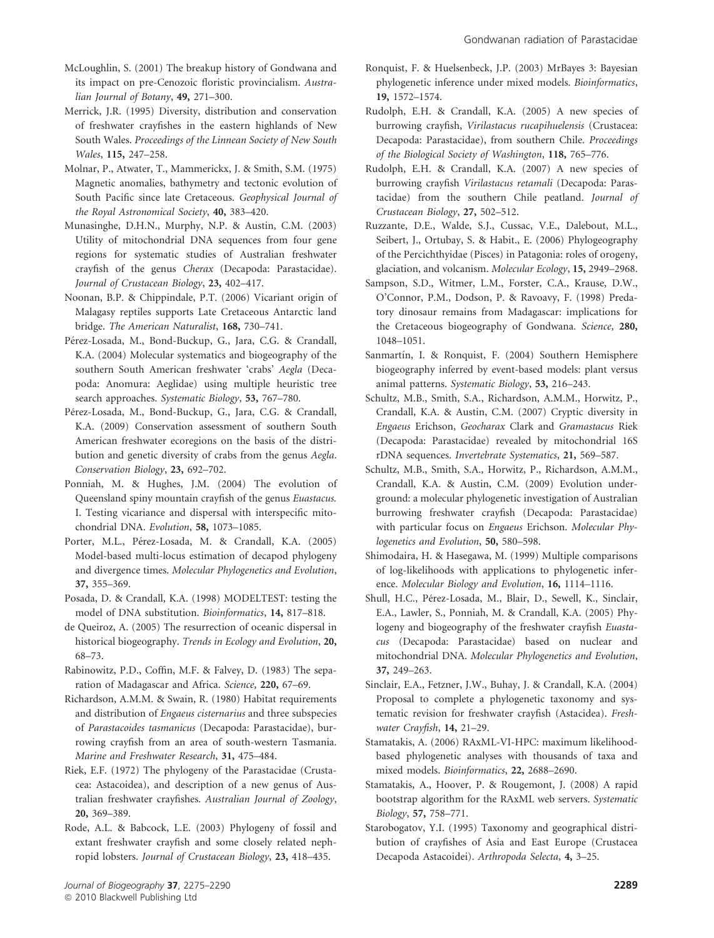- McLoughlin, S. (2001) The breakup history of Gondwana and its impact on pre-Cenozoic floristic provincialism. Australian Journal of Botany, 49, 271-300.
- Merrick, J.R. (1995) Diversity, distribution and conservation of freshwater crayfishes in the eastern highlands of New South Wales. Proceedings of the Linnean Society of New South Wales, 115, 247–258.
- Molnar, P., Atwater, T., Mammerickx, J. & Smith, S.M. (1975) Magnetic anomalies, bathymetry and tectonic evolution of South Pacific since late Cretaceous. Geophysical Journal of the Royal Astronomical Society, 40, 383–420.
- Munasinghe, D.H.N., Murphy, N.P. & Austin, C.M. (2003) Utility of mitochondrial DNA sequences from four gene regions for systematic studies of Australian freshwater crayfish of the genus Cherax (Decapoda: Parastacidae). Journal of Crustacean Biology, 23, 402–417.
- Noonan, B.P. & Chippindale, P.T. (2006) Vicariant origin of Malagasy reptiles supports Late Cretaceous Antarctic land bridge. The American Naturalist, 168, 730–741.
- Pérez-Losada, M., Bond-Buckup, G., Jara, C.G. & Crandall, K.A. (2004) Molecular systematics and biogeography of the southern South American freshwater 'crabs' Aegla (Decapoda: Anomura: Aeglidae) using multiple heuristic tree search approaches. Systematic Biology, 53, 767–780.
- Pérez-Losada, M., Bond-Buckup, G., Jara, C.G. & Crandall, K.A. (2009) Conservation assessment of southern South American freshwater ecoregions on the basis of the distribution and genetic diversity of crabs from the genus Aegla. Conservation Biology, 23, 692–702.
- Ponniah, M. & Hughes, J.M. (2004) The evolution of Queensland spiny mountain crayfish of the genus Euastacus. I. Testing vicariance and dispersal with interspecific mitochondrial DNA. Evolution, 58, 1073–1085.
- Porter, M.L., Pérez-Losada, M. & Crandall, K.A. (2005) Model-based multi-locus estimation of decapod phylogeny and divergence times. Molecular Phylogenetics and Evolution, 37, 355–369.
- Posada, D. & Crandall, K.A. (1998) MODELTEST: testing the model of DNA substitution. Bioinformatics, 14, 817–818.
- de Queiroz, A. (2005) The resurrection of oceanic dispersal in historical biogeography. Trends in Ecology and Evolution, 20, 68–73.
- Rabinowitz, P.D., Coffin, M.F. & Falvey, D. (1983) The separation of Madagascar and Africa. Science, 220, 67–69.
- Richardson, A.M.M. & Swain, R. (1980) Habitat requirements and distribution of Engaeus cisternarius and three subspecies of Parastacoides tasmanicus (Decapoda: Parastacidae), burrowing crayfish from an area of south-western Tasmania. Marine and Freshwater Research, 31, 475–484.
- Riek, E.F. (1972) The phylogeny of the Parastacidae (Crustacea: Astacoidea), and description of a new genus of Australian freshwater crayfishes. Australian Journal of Zoology, 20, 369–389.
- Rode, A.L. & Babcock, L.E. (2003) Phylogeny of fossil and extant freshwater crayfish and some closely related nephropid lobsters. Journal of Crustacean Biology, 23, 418–435.
- Ronquist, F. & Huelsenbeck, J.P. (2003) MrBayes 3: Bayesian phylogenetic inference under mixed models. Bioinformatics, 19, 1572–1574.
- Rudolph, E.H. & Crandall, K.A. (2005) A new species of burrowing crayfish, Virilastacus rucapihuelensis (Crustacea: Decapoda: Parastacidae), from southern Chile. Proceedings of the Biological Society of Washington, 118, 765–776.
- Rudolph, E.H. & Crandall, K.A. (2007) A new species of burrowing crayfish Virilastacus retamali (Decapoda: Parastacidae) from the southern Chile peatland. Journal of Crustacean Biology, 27, 502–512.
- Ruzzante, D.E., Walde, S.J., Cussac, V.E., Dalebout, M.L., Seibert, J., Ortubay, S. & Habit., E. (2006) Phylogeography of the Percichthyidae (Pisces) in Patagonia: roles of orogeny, glaciation, and volcanism. Molecular Ecology, 15, 2949–2968.
- Sampson, S.D., Witmer, L.M., Forster, C.A., Krause, D.W., O'Connor, P.M., Dodson, P. & Ravoavy, F. (1998) Predatory dinosaur remains from Madagascar: implications for the Cretaceous biogeography of Gondwana. Science, 280, 1048–1051.
- Sanmartín, I. & Ronquist, F. (2004) Southern Hemisphere biogeography inferred by event-based models: plant versus animal patterns. Systematic Biology, 53, 216–243.
- Schultz, M.B., Smith, S.A., Richardson, A.M.M., Horwitz, P., Crandall, K.A. & Austin, C.M. (2007) Cryptic diversity in Engaeus Erichson, Geocharax Clark and Gramastacus Riek (Decapoda: Parastacidae) revealed by mitochondrial 16S rDNA sequences. Invertebrate Systematics, 21, 569–587.
- Schultz, M.B., Smith, S.A., Horwitz, P., Richardson, A.M.M., Crandall, K.A. & Austin, C.M. (2009) Evolution underground: a molecular phylogenetic investigation of Australian burrowing freshwater crayfish (Decapoda: Parastacidae) with particular focus on Engaeus Erichson. Molecular Phylogenetics and Evolution, 50, 580–598.
- Shimodaira, H. & Hasegawa, M. (1999) Multiple comparisons of log-likelihoods with applications to phylogenetic inference. Molecular Biology and Evolution, 16, 1114–1116.
- Shull, H.C., Pérez-Losada, M., Blair, D., Sewell, K., Sinclair, E.A., Lawler, S., Ponniah, M. & Crandall, K.A. (2005) Phylogeny and biogeography of the freshwater crayfish Euastacus (Decapoda: Parastacidae) based on nuclear and mitochondrial DNA. Molecular Phylogenetics and Evolution, 37, 249–263.
- Sinclair, E.A., Fetzner, J.W., Buhay, J. & Crandall, K.A. (2004) Proposal to complete a phylogenetic taxonomy and systematic revision for freshwater crayfish (Astacidea). Freshwater Crayfish, 14, 21–29.
- Stamatakis, A. (2006) RAxML-VI-HPC: maximum likelihoodbased phylogenetic analyses with thousands of taxa and mixed models. Bioinformatics, 22, 2688–2690.
- Stamatakis, A., Hoover, P. & Rougemont, J. (2008) A rapid bootstrap algorithm for the RAxML web servers. Systematic Biology, 57, 758–771.
- Starobogatov, Y.I. (1995) Taxonomy and geographical distribution of crayfishes of Asia and East Europe (Crustacea Decapoda Astacoidei). Arthropoda Selecta, 4, 3–25.